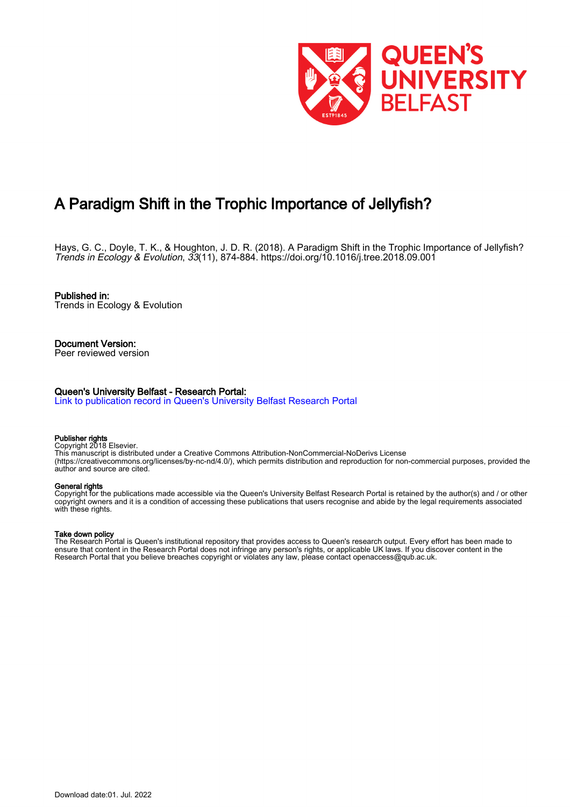

# A Paradigm Shift in the Trophic Importance of Jellyfish?

Hays, G. C., Doyle, T. K., & Houghton, J. D. R. (2018). A Paradigm Shift in the Trophic Importance of Jellyfish? Trends in Ecology & Evolution, 33(11), 874-884. <https://doi.org/10.1016/j.tree.2018.09.001>

Published in: Trends in Ecology & Evolution

Document Version: Peer reviewed version

#### Queen's University Belfast - Research Portal:

[Link to publication record in Queen's University Belfast Research Portal](https://pure.qub.ac.uk/en/publications/6158fa15-32f8-4167-9574-dbc08266b588)

#### Publisher rights

Copyright 2018 Elsevier.

This manuscript is distributed under a Creative Commons Attribution-NonCommercial-NoDerivs License (https://creativecommons.org/licenses/by-nc-nd/4.0/), which permits distribution and reproduction for non-commercial purposes, provided the author and source are cited.

#### General rights

Copyright for the publications made accessible via the Queen's University Belfast Research Portal is retained by the author(s) and / or other copyright owners and it is a condition of accessing these publications that users recognise and abide by the legal requirements associated with these rights.

#### Take down policy

The Research Portal is Queen's institutional repository that provides access to Queen's research output. Every effort has been made to ensure that content in the Research Portal does not infringe any person's rights, or applicable UK laws. If you discover content in the Research Portal that you believe breaches copyright or violates any law, please contact openaccess@qub.ac.uk.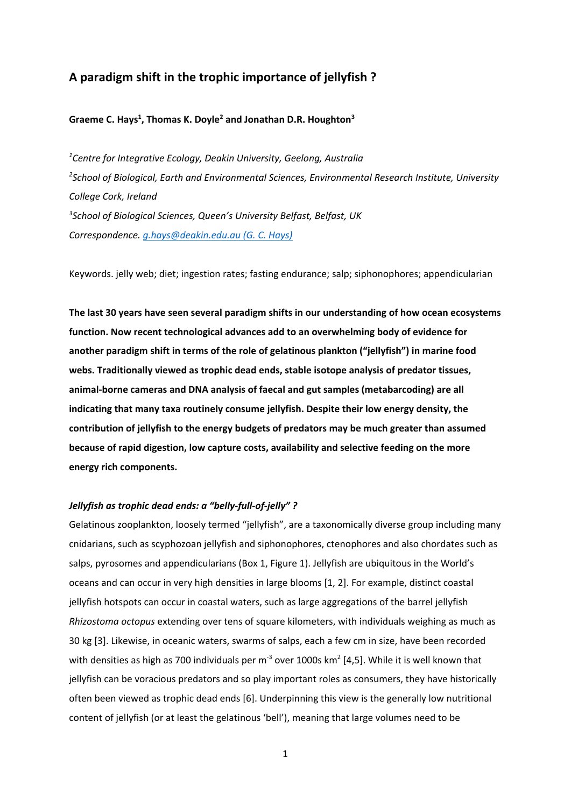# **A paradigm shift in the trophic importance of jellyfish ?**

# Graeme C. Hays<sup>1</sup>, Thomas K. Doyle<sup>2</sup> and Jonathan D.R. Houghton<sup>3</sup>

*1 Centre for Integrative Ecology, Deakin University, Geelong, Australia 2 School of Biological, Earth and Environmental Sciences, Environmental Research Institute, University College Cork, Ireland 3 School of Biological Sciences, Queen's University Belfast, Belfast, UK Correspondence. g.hays@deakin.edu.au (G. C. Hays)* 

Keywords. jelly web; diet; ingestion rates; fasting endurance; salp; siphonophores; appendicularian

**The last 30 years have seen several paradigm shifts in our understanding of how ocean ecosystems function. Now recent technological advances add to an overwhelming body of evidence for another paradigm shift in terms of the role of gelatinous plankton ("jellyfish") in marine food webs. Traditionally viewed as trophic dead ends, stable isotope analysis of predator tissues, animal‐borne cameras and DNA analysis of faecal and gut samples (metabarcoding) are all indicating that many taxa routinely consume jellyfish. Despite their low energy density, the contribution of jellyfish to the energy budgets of predators may be much greater than assumed because of rapid digestion, low capture costs, availability and selective feeding on the more energy rich components.** 

# *Jellyfish as trophic dead ends: a "belly‐full‐of‐jelly" ?*

Gelatinous zooplankton, loosely termed "jellyfish", are a taxonomically diverse group including many cnidarians, such as scyphozoan jellyfish and siphonophores, ctenophores and also chordates such as salps, pyrosomes and appendicularians (Box 1, Figure 1). Jellyfish are ubiquitous in the World's oceans and can occur in very high densities in large blooms [1, 2]. For example, distinct coastal jellyfish hotspots can occur in coastal waters, such as large aggregations of the barrel jellyfish *Rhizostoma octopus* extending over tens of square kilometers, with individuals weighing as much as 30 kg [3]. Likewise, in oceanic waters, swarms of salps, each a few cm in size, have been recorded with densities as high as 700 individuals per m<sup>-3</sup> over 1000s km<sup>2</sup> [4,5]. While it is well known that jellyfish can be voracious predators and so play important roles as consumers, they have historically often been viewed as trophic dead ends [6]. Underpinning this view is the generally low nutritional content of jellyfish (or at least the gelatinous 'bell'), meaning that large volumes need to be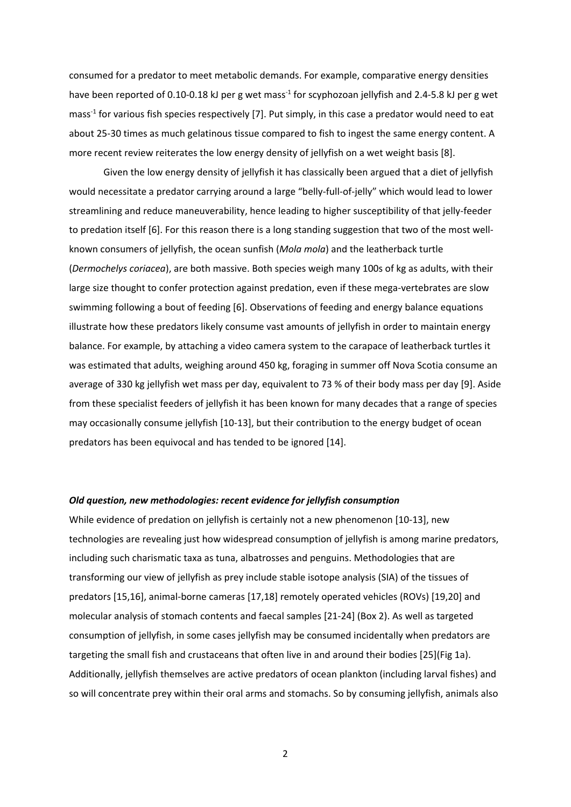consumed for a predator to meet metabolic demands. For example, comparative energy densities have been reported of 0.10-0.18 kJ per g wet mass<sup>-1</sup> for scyphozoan jellyfish and 2.4-5.8 kJ per g wet mass<sup>-1</sup> for various fish species respectively [7]. Put simply, in this case a predator would need to eat about 25‐30 times as much gelatinous tissue compared to fish to ingest the same energy content. A more recent review reiterates the low energy density of jellyfish on a wet weight basis [8].

Given the low energy density of jellyfish it has classically been argued that a diet of jellyfish would necessitate a predator carrying around a large "belly-full-of-jelly" which would lead to lower streamlining and reduce maneuverability, hence leading to higher susceptibility of that jelly‐feeder to predation itself [6]. For this reason there is a long standing suggestion that two of the most well‐ known consumers of jellyfish, the ocean sunfish (*Mola mola*) and the leatherback turtle (*Dermochelys coriacea*), are both massive. Both species weigh many 100s of kg as adults, with their large size thought to confer protection against predation, even if these mega-vertebrates are slow swimming following a bout of feeding [6]. Observations of feeding and energy balance equations illustrate how these predators likely consume vast amounts of jellyfish in order to maintain energy balance. For example, by attaching a video camera system to the carapace of leatherback turtles it was estimated that adults, weighing around 450 kg, foraging in summer off Nova Scotia consume an average of 330 kg jellyfish wet mass per day, equivalent to 73 % of their body mass per day [9]. Aside from these specialist feeders of jellyfish it has been known for many decades that a range of species may occasionally consume jellyfish [10‐13], but their contribution to the energy budget of ocean predators has been equivocal and has tended to be ignored [14].

## *Old question, new methodologies: recent evidence for jellyfish consumption*

While evidence of predation on jellyfish is certainly not a new phenomenon [10‐13], new technologies are revealing just how widespread consumption of jellyfish is among marine predators, including such charismatic taxa as tuna, albatrosses and penguins. Methodologies that are transforming our view of jellyfish as prey include stable isotope analysis (SIA) of the tissues of predators [15,16], animal‐borne cameras [17,18] remotely operated vehicles (ROVs) [19,20] and molecular analysis of stomach contents and faecal samples [21‐24] (Box 2). As well as targeted consumption of jellyfish, in some cases jellyfish may be consumed incidentally when predators are targeting the small fish and crustaceans that often live in and around their bodies [25](Fig 1a). Additionally, jellyfish themselves are active predators of ocean plankton (including larval fishes) and so will concentrate prey within their oral arms and stomachs. So by consuming jellyfish, animals also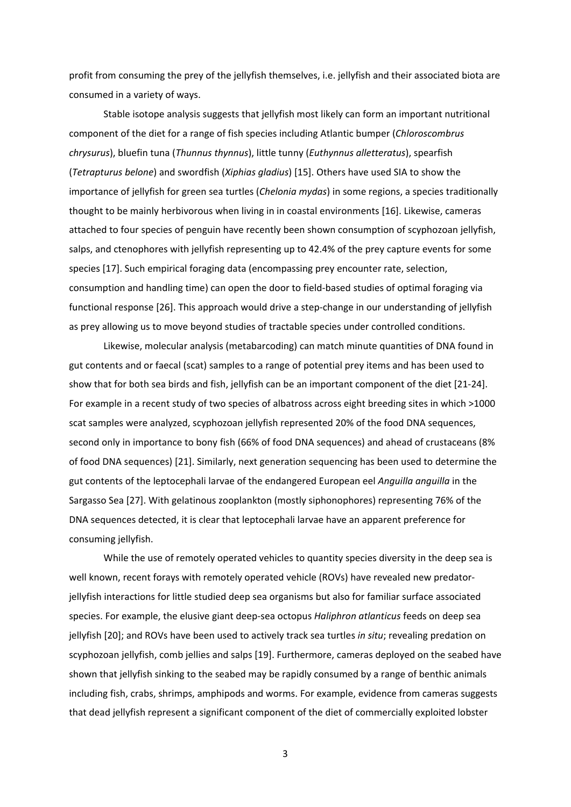profit from consuming the prey of the jellyfish themselves, i.e. jellyfish and their associated biota are consumed in a variety of ways.

 Stable isotope analysis suggests that jellyfish most likely can form an important nutritional component of the diet for a range of fish species including Atlantic bumper (*Chloroscombrus chrysurus*), bluefin tuna (*Thunnus thynnus*), little tunny (*Euthynnus alletteratus*), spearfish (*Tetrapturus belone*) and swordfish (*Xiphias gladius*) [15]. Others have used SIA to show the importance of jellyfish for green sea turtles (*Chelonia mydas*) in some regions, a species traditionally thought to be mainly herbivorous when living in in coastal environments [16]. Likewise, cameras attached to four species of penguin have recently been shown consumption of scyphozoan jellyfish, salps, and ctenophores with jellyfish representing up to 42.4% of the prey capture events for some species [17]. Such empirical foraging data (encompassing prey encounter rate, selection, consumption and handling time) can open the door to field‐based studies of optimal foraging via functional response [26]. This approach would drive a step-change in our understanding of jellyfish as prey allowing us to move beyond studies of tractable species under controlled conditions.

Likewise, molecular analysis (metabarcoding) can match minute quantities of DNA found in gut contents and or faecal (scat) samples to a range of potential prey items and has been used to show that for both sea birds and fish, jellyfish can be an important component of the diet [21‐24]. For example in a recent study of two species of albatross across eight breeding sites in which >1000 scat samples were analyzed, scyphozoan jellyfish represented 20% of the food DNA sequences, second only in importance to bony fish (66% of food DNA sequences) and ahead of crustaceans (8% of food DNA sequences) [21]. Similarly, next generation sequencing has been used to determine the gut contents of the leptocephali larvae of the endangered European eel *Anguilla anguilla* in the Sargasso Sea [27]. With gelatinous zooplankton (mostly siphonophores) representing 76% of the DNA sequences detected, it is clear that leptocephali larvae have an apparent preference for consuming jellyfish.

While the use of remotely operated vehicles to quantity species diversity in the deep sea is well known, recent forays with remotely operated vehicle (ROVs) have revealed new predatorjellyfish interactions for little studied deep sea organisms but also for familiar surface associated species. For example, the elusive giant deep‐sea octopus *Haliphron atlanticus* feeds on deep sea jellyfish [20]; and ROVs have been used to actively track sea turtles *in situ*; revealing predation on scyphozoan jellyfish, comb jellies and salps [19]. Furthermore, cameras deployed on the seabed have shown that jellyfish sinking to the seabed may be rapidly consumed by a range of benthic animals including fish, crabs, shrimps, amphipods and worms. For example, evidence from cameras suggests that dead jellyfish represent a significant component of the diet of commercially exploited lobster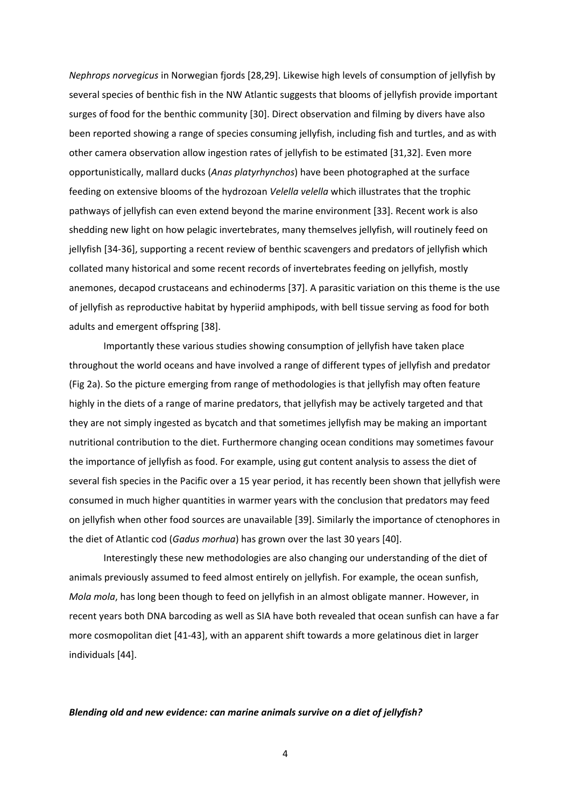*Nephrops norvegicus* in Norwegian fjords [28,29]. Likewise high levels of consumption of jellyfish by several species of benthic fish in the NW Atlantic suggests that blooms of jellyfish provide important surges of food for the benthic community [30]. Direct observation and filming by divers have also been reported showing a range of species consuming jellyfish, including fish and turtles, and as with other camera observation allow ingestion rates of jellyfish to be estimated [31,32]. Even more opportunistically, mallard ducks (*Anas platyrhynchos*) have been photographed at the surface feeding on extensive blooms of the hydrozoan *Velella velella* which illustrates that the trophic pathways of jellyfish can even extend beyond the marine environment [33]. Recent work is also shedding new light on how pelagic invertebrates, many themselves jellyfish, will routinely feed on jellyfish [34‐36], supporting a recent review of benthic scavengers and predators of jellyfish which collated many historical and some recent records of invertebrates feeding on jellyfish, mostly anemones, decapod crustaceans and echinoderms [37]. A parasitic variation on this theme is the use of jellyfish as reproductive habitat by hyperiid amphipods, with bell tissue serving as food for both adults and emergent offspring [38].

Importantly these various studies showing consumption of jellyfish have taken place throughout the world oceans and have involved a range of different types of jellyfish and predator (Fig 2a). So the picture emerging from range of methodologies is that jellyfish may often feature highly in the diets of a range of marine predators, that jellyfish may be actively targeted and that they are not simply ingested as bycatch and that sometimes jellyfish may be making an important nutritional contribution to the diet. Furthermore changing ocean conditions may sometimes favour the importance of jellyfish as food. For example, using gut content analysis to assess the diet of several fish species in the Pacific over a 15 year period, it has recently been shown that jellyfish were consumed in much higher quantities in warmer years with the conclusion that predators may feed on jellyfish when other food sources are unavailable [39]. Similarly the importance of ctenophores in the diet of Atlantic cod (*Gadus morhua*) has grown over the last 30 years [40].

Interestingly these new methodologies are also changing our understanding of the diet of animals previously assumed to feed almost entirely on jellyfish. For example, the ocean sunfish, *Mola mola*, has long been though to feed on jellyfish in an almost obligate manner. However, in recent years both DNA barcoding as well as SIA have both revealed that ocean sunfish can have a far more cosmopolitan diet [41‐43], with an apparent shift towards a more gelatinous diet in larger individuals [44].

# *Blending old and new evidence: can marine animals survive on a diet of jellyfish?*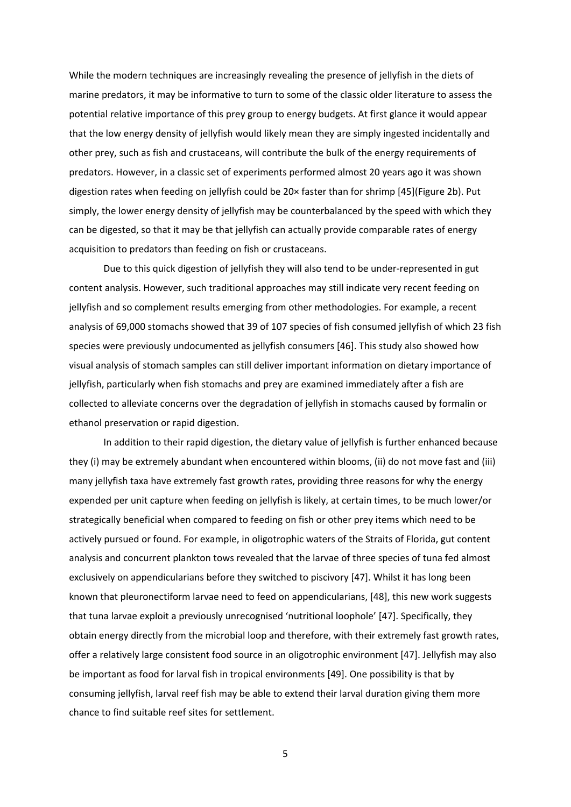While the modern techniques are increasingly revealing the presence of jellyfish in the diets of marine predators, it may be informative to turn to some of the classic older literature to assess the potential relative importance of this prey group to energy budgets. At first glance it would appear that the low energy density of jellyfish would likely mean they are simply ingested incidentally and other prey, such as fish and crustaceans, will contribute the bulk of the energy requirements of predators. However, in a classic set of experiments performed almost 20 years ago it was shown digestion rates when feeding on jellyfish could be 20× faster than for shrimp [45](Figure 2b). Put simply, the lower energy density of jellyfish may be counterbalanced by the speed with which they can be digested, so that it may be that jellyfish can actually provide comparable rates of energy acquisition to predators than feeding on fish or crustaceans.

Due to this quick digestion of jellyfish they will also tend to be under‐represented in gut content analysis. However, such traditional approaches may still indicate very recent feeding on jellyfish and so complement results emerging from other methodologies. For example, a recent analysis of 69,000 stomachs showed that 39 of 107 species of fish consumed jellyfish of which 23 fish species were previously undocumented as jellyfish consumers [46]. This study also showed how visual analysis of stomach samples can still deliver important information on dietary importance of jellyfish, particularly when fish stomachs and prey are examined immediately after a fish are collected to alleviate concerns over the degradation of jellyfish in stomachs caused by formalin or ethanol preservation or rapid digestion.

In addition to their rapid digestion, the dietary value of jellyfish is further enhanced because they (i) may be extremely abundant when encountered within blooms, (ii) do not move fast and (iii) many jellyfish taxa have extremely fast growth rates, providing three reasons for why the energy expended per unit capture when feeding on jellyfish is likely, at certain times, to be much lower/or strategically beneficial when compared to feeding on fish or other prey items which need to be actively pursued or found. For example, in oligotrophic waters of the Straits of Florida, gut content analysis and concurrent plankton tows revealed that the larvae of three species of tuna fed almost exclusively on appendicularians before they switched to piscivory [47]. Whilst it has long been known that pleuronectiform larvae need to feed on appendicularians, [48], this new work suggests that tuna larvae exploit a previously unrecognised 'nutritional loophole' [47]. Specifically, they obtain energy directly from the microbial loop and therefore, with their extremely fast growth rates, offer a relatively large consistent food source in an oligotrophic environment [47]. Jellyfish may also be important as food for larval fish in tropical environments [49]. One possibility is that by consuming jellyfish, larval reef fish may be able to extend their larval duration giving them more chance to find suitable reef sites for settlement.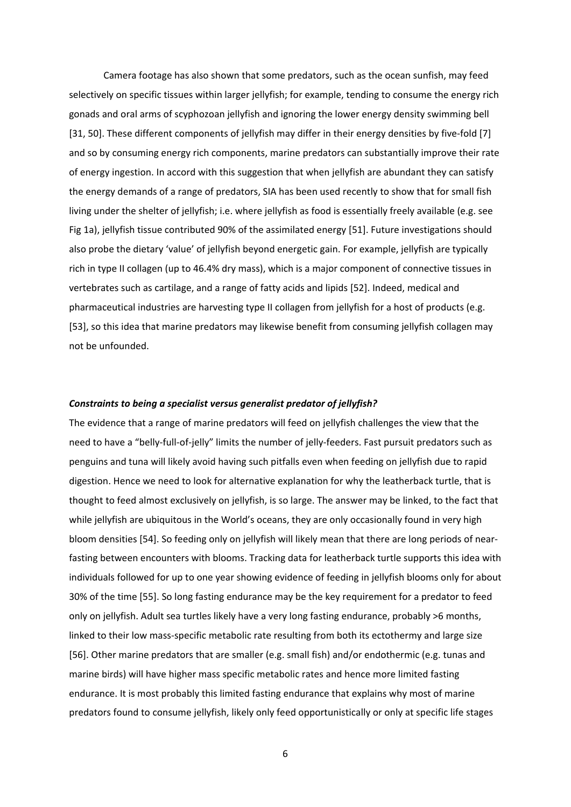Camera footage has also shown that some predators, such as the ocean sunfish, may feed selectively on specific tissues within larger jellyfish; for example, tending to consume the energy rich gonads and oral arms of scyphozoan jellyfish and ignoring the lower energy density swimming bell [31, 50]. These different components of jellyfish may differ in their energy densities by five-fold [7] and so by consuming energy rich components, marine predators can substantially improve their rate of energy ingestion. In accord with this suggestion that when jellyfish are abundant they can satisfy the energy demands of a range of predators, SIA has been used recently to show that for small fish living under the shelter of jellyfish; i.e. where jellyfish as food is essentially freely available (e.g. see Fig 1a), jellyfish tissue contributed 90% of the assimilated energy [51]. Future investigations should also probe the dietary 'value' of jellyfish beyond energetic gain. For example, jellyfish are typically rich in type II collagen (up to 46.4% dry mass), which is a major component of connective tissues in vertebrates such as cartilage, and a range of fatty acids and lipids [52]. Indeed, medical and pharmaceutical industries are harvesting type II collagen from jellyfish for a host of products (e.g. [53], so this idea that marine predators may likewise benefit from consuming jellyfish collagen may not be unfounded.

# *Constraints to being a specialist versus generalist predator of jellyfish?*

The evidence that a range of marine predators will feed on jellyfish challenges the view that the need to have a "belly-full-of-jelly" limits the number of jelly-feeders. Fast pursuit predators such as penguins and tuna will likely avoid having such pitfalls even when feeding on jellyfish due to rapid digestion. Hence we need to look for alternative explanation for why the leatherback turtle, that is thought to feed almost exclusively on jellyfish, is so large. The answer may be linked, to the fact that while jellyfish are ubiquitous in the World's oceans, they are only occasionally found in very high bloom densities [54]. So feeding only on jellyfish will likely mean that there are long periods of near‐ fasting between encounters with blooms. Tracking data for leatherback turtle supports this idea with individuals followed for up to one year showing evidence of feeding in jellyfish blooms only for about 30% of the time [55]. So long fasting endurance may be the key requirement for a predator to feed only on jellyfish. Adult sea turtles likely have a very long fasting endurance, probably >6 months, linked to their low mass-specific metabolic rate resulting from both its ectothermy and large size [56]. Other marine predators that are smaller (e.g. small fish) and/or endothermic (e.g. tunas and marine birds) will have higher mass specific metabolic rates and hence more limited fasting endurance. It is most probably this limited fasting endurance that explains why most of marine predators found to consume jellyfish, likely only feed opportunistically or only at specific life stages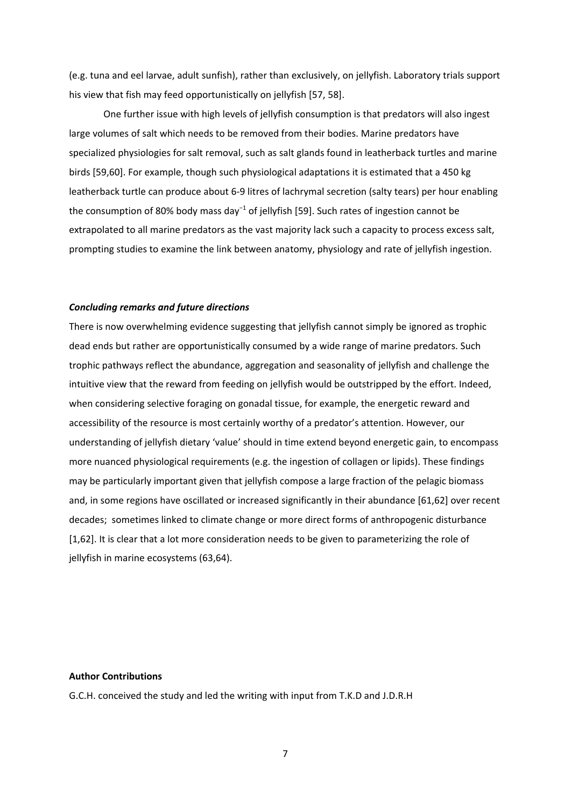(e.g. tuna and eel larvae, adult sunfish), rather than exclusively, on jellyfish. Laboratory trials support his view that fish may feed opportunistically on jellyfish [57, 58].

One further issue with high levels of jellyfish consumption is that predators will also ingest large volumes of salt which needs to be removed from their bodies. Marine predators have specialized physiologies for salt removal, such as salt glands found in leatherback turtles and marine birds [59,60]. For example, though such physiological adaptations it is estimated that a 450 kg leatherback turtle can produce about 6‐9 litres of lachrymal secretion (salty tears) per hour enabling the consumption of 80% body mass day−1 of jellyfish [59]. Such rates of ingestion cannot be extrapolated to all marine predators as the vast majority lack such a capacity to process excess salt, prompting studies to examine the link between anatomy, physiology and rate of jellyfish ingestion.

# *Concluding remarks and future directions*

There is now overwhelming evidence suggesting that jellyfish cannot simply be ignored as trophic dead ends but rather are opportunistically consumed by a wide range of marine predators. Such trophic pathways reflect the abundance, aggregation and seasonality of jellyfish and challenge the intuitive view that the reward from feeding on jellyfish would be outstripped by the effort. Indeed, when considering selective foraging on gonadal tissue, for example, the energetic reward and accessibility of the resource is most certainly worthy of a predator's attention. However, our understanding of jellyfish dietary 'value' should in time extend beyond energetic gain, to encompass more nuanced physiological requirements (e.g. the ingestion of collagen or lipids). These findings may be particularly important given that jellyfish compose a large fraction of the pelagic biomass and, in some regions have oscillated or increased significantly in their abundance [61,62] over recent decades; sometimes linked to climate change or more direct forms of anthropogenic disturbance [1,62]. It is clear that a lot more consideration needs to be given to parameterizing the role of jellyfish in marine ecosystems (63,64).

# **Author Contributions**

G.C.H. conceived the study and led the writing with input from T.K.D and J.D.R.H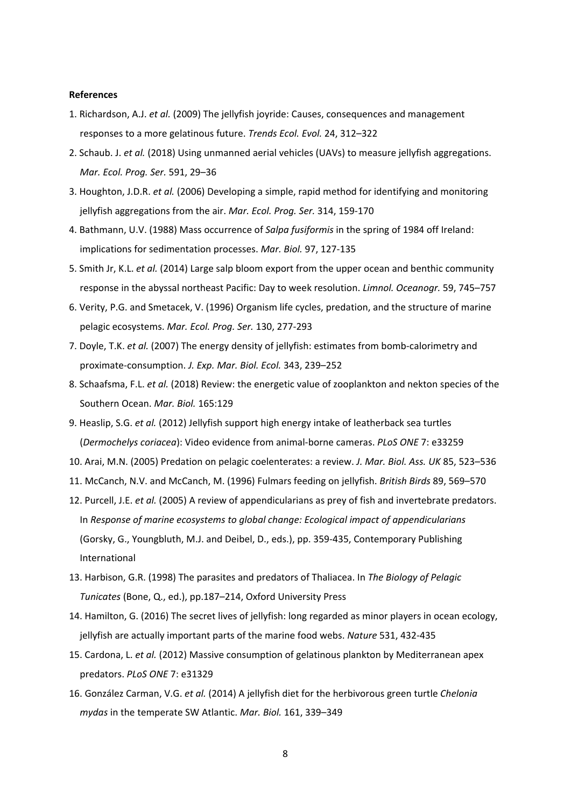# **References**

- 1. Richardson, A.J. *et al.* (2009) The jellyfish joyride: Causes, consequences and management responses to a more gelatinous future. *Trends Ecol. Evol.* 24, 312–322
- 2. Schaub. J. *et al.* (2018) Using unmanned aerial vehicles (UAVs) to measure jellyfish aggregations. *Mar. Ecol. Prog. Ser.* 591, 29–36
- 3. Houghton, J.D.R. *et al.* (2006) Developing a simple, rapid method for identifying and monitoring jellyfish aggregations from the air. *Mar. Ecol. Prog. Ser.* 314, 159‐170
- 4. Bathmann, U.V. (1988) Mass occurrence of *Salpa fusiformis* in the spring of 1984 off Ireland: implications for sedimentation processes. *Mar. Biol.* 97, 127‐135
- 5. Smith Jr, K.L. *et al.* (2014) Large salp bloom export from the upper ocean and benthic community response in the abyssal northeast Pacific: Day to week resolution. *Limnol. Oceanogr.* 59, 745–757
- 6. Verity, P.G. and Smetacek, V. (1996) Organism life cycles, predation, and the structure of marine pelagic ecosystems. *Mar. Ecol. Prog. Ser.* 130, 277‐293
- 7. Doyle, T.K. *et al.* (2007) The energy density of jellyfish: estimates from bomb-calorimetry and proximate‐consumption. *J. Exp. Mar. Biol. Ecol.* 343, 239–252
- 8. Schaafsma, F.L. *et al.* (2018) Review: the energetic value of zooplankton and nekton species of the Southern Ocean. *Mar. Biol.* 165:129
- 9. Heaslip, S.G. *et al.* (2012) Jellyfish support high energy intake of leatherback sea turtles (*Dermochelys coriacea*): Video evidence from animal‐borne cameras. *PLoS ONE* 7: e33259
- 10. Arai, M.N. (2005) Predation on pelagic coelenterates: a review. *J. Mar. Biol. Ass. UK* 85, 523–536
- 11. McCanch, N.V. and McCanch, M. (1996) Fulmars feeding on jellyfish. *British Birds* 89, 569–570
- 12. Purcell, J.E. *et al.* (2005) A review of appendicularians as prey of fish and invertebrate predators. In *Response of marine ecosystems to global change: Ecological impact of appendicularians* (Gorsky, G., Youngbluth, M.J. and Deibel, D., eds.), pp. 359‐435, Contemporary Publishing International
- 13. Harbison, G.R. (1998) The parasites and predators of Thaliacea. In *The Biology of Pelagic Tunicates* (Bone, Q., ed.), pp.187–214, Oxford University Press
- 14. Hamilton, G. (2016) The secret lives of jellyfish: long regarded as minor players in ocean ecology, jellyfish are actually important parts of the marine food webs. *Nature* 531, 432‐435
- 15. Cardona, L. *et al.* (2012) Massive consumption of gelatinous plankton by Mediterranean apex predators. *PLoS ONE* 7: e31329
- 16. González Carman, V.G. *et al.* (2014) A jellyfish diet for the herbivorous green turtle *Chelonia mydas* in the temperate SW Atlantic. *Mar. Biol.* 161, 339–349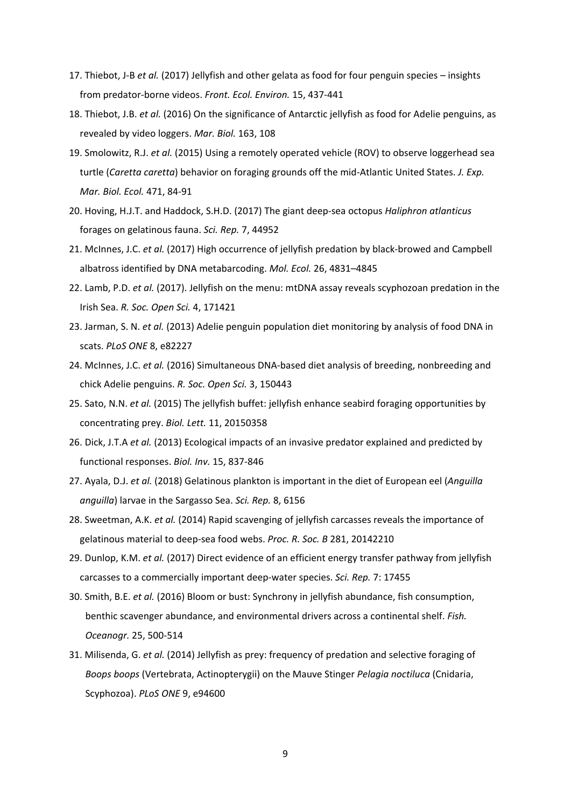- 17. Thiebot, J‐B *et al.* (2017) Jellyfish and other gelata as food for four penguin species insights from predator‐borne videos. *Front. Ecol. Environ.* 15, 437‐441
- 18. Thiebot, J.B. *et al.* (2016) On the significance of Antarctic jellyfish as food for Adelie penguins, as revealed by video loggers. *Mar. Biol.* 163, 108
- 19. Smolowitz, R.J. *et al.* (2015) Using a remotely operated vehicle (ROV) to observe loggerhead sea turtle (*Caretta caretta*) behavior on foraging grounds off the mid‐Atlantic United States. *J. Exp. Mar. Biol. Ecol.* 471, 84‐91
- 20. Hoving, H.J.T. and Haddock, S.H.D. (2017) The giant deep‐sea octopus *Haliphron atlanticus* forages on gelatinous fauna. *Sci. Rep.* 7, 44952
- 21. McInnes, J.C. *et al.* (2017) High occurrence of jellyfish predation by black‐browed and Campbell albatross identified by DNA metabarcoding. *Mol. Ecol.* 26, 4831–4845
- 22. Lamb, P.D. *et al.* (2017). Jellyfish on the menu: mtDNA assay reveals scyphozoan predation in the Irish Sea. *R. Soc. Open Sci.* 4, 171421
- 23. Jarman, S. N. *et al.* (2013) Adelie penguin population diet monitoring by analysis of food DNA in scats. *PLoS ONE* 8, e82227
- 24. McInnes, J.C. *et al.* (2016) Simultaneous DNA‐based diet analysis of breeding, nonbreeding and chick Adelie penguins. *R. Soc. Open Sci.* 3, 150443
- 25. Sato, N.N. *et al.* (2015) The jellyfish buffet: jellyfish enhance seabird foraging opportunities by concentrating prey. *Biol. Lett.* 11, 20150358
- 26. Dick, J.T.A *et al.* (2013) Ecological impacts of an invasive predator explained and predicted by functional responses. *Biol. Inv.* 15, 837‐846
- 27. Ayala, D.J. *et al.* (2018) Gelatinous plankton is important in the diet of European eel (*Anguilla anguilla*) larvae in the Sargasso Sea. *Sci. Rep.* 8, 6156
- 28. Sweetman, A.K. *et al.* (2014) Rapid scavenging of jellyfish carcasses reveals the importance of gelatinous material to deep‐sea food webs. *Proc. R. Soc. B* 281, 20142210
- 29. Dunlop, K.M. *et al.* (2017) Direct evidence of an efficient energy transfer pathway from jellyfish carcasses to a commercially important deep‐water species. *Sci. Rep.* 7: 17455
- 30. Smith, B.E. *et al.* (2016) Bloom or bust: Synchrony in jellyfish abundance, fish consumption, benthic scavenger abundance, and environmental drivers across a continental shelf. *Fish. Oceanogr.* 25, 500‐514
- 31. Milisenda, G. *et al.* (2014) Jellyfish as prey: frequency of predation and selective foraging of *Boops boops* (Vertebrata, Actinopterygii) on the Mauve Stinger *Pelagia noctiluca* (Cnidaria, Scyphozoa). *PLoS ONE* 9, e94600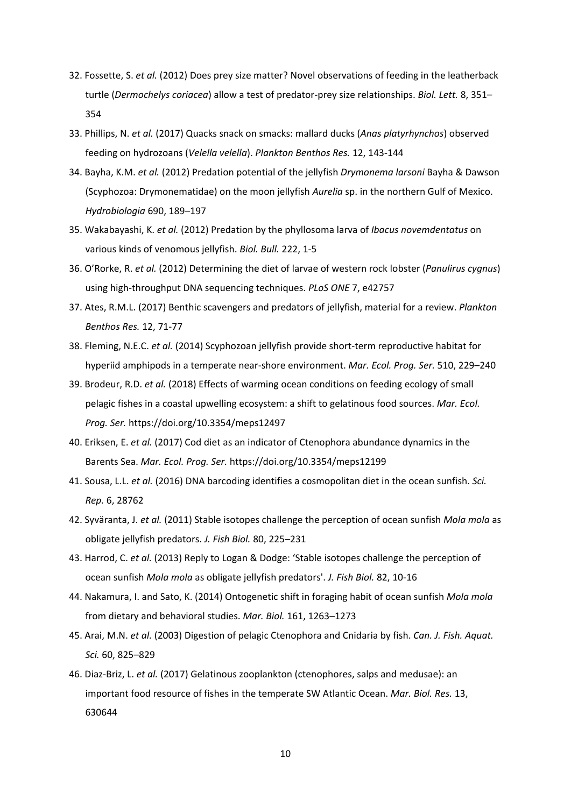- 32. Fossette, S. *et al.* (2012) Does prey size matter? Novel observations of feeding in the leatherback turtle (*Dermochelys coriacea*) allow a test of predator‐prey size relationships. *Biol. Lett.* 8, 351– 354
- 33. Phillips, N. *et al.* (2017) Quacks snack on smacks: mallard ducks (*Anas platyrhynchos*) observed feeding on hydrozoans (*Velella velella*). *Plankton Benthos Res.* 12, 143‐144
- 34. Bayha, K.M. *et al.* (2012) Predation potential of the jellyfish *Drymonema larsoni* Bayha & Dawson (Scyphozoa: Drymonematidae) on the moon jellyfish *Aurelia* sp. in the northern Gulf of Mexico. *Hydrobiologia* 690, 189–197
- 35. Wakabayashi, K. *et al.* (2012) Predation by the phyllosoma larva of *Ibacus novemdentatus* on various kinds of venomous jellyfish. *Biol. Bull.* 222, 1‐5
- 36. O'Rorke, R. *et al.* (2012) Determining the diet of larvae of western rock lobster (*Panulirus cygnus*) using high‐throughput DNA sequencing techniques. *PLoS ONE* 7, e42757
- 37. Ates, R.M.L. (2017) Benthic scavengers and predators of jellyfish, material for a review. *Plankton Benthos Res.* 12, 71‐77
- 38. Fleming, N.E.C. *et al.* (2014) Scyphozoan jellyfish provide short-term reproductive habitat for hyperiid amphipods in a temperate near‐shore environment. *Mar. Ecol. Prog. Ser.* 510, 229–240
- 39. Brodeur, R.D. *et al.* (2018) Effects of warming ocean conditions on feeding ecology of small pelagic fishes in a coastal upwelling ecosystem: a shift to gelatinous food sources. *Mar. Ecol. Prog. Ser.* https://doi.org/10.3354/meps12497
- 40. Eriksen, E. *et al.* (2017) Cod diet as an indicator of Ctenophora abundance dynamics in the Barents Sea. *Mar. Ecol. Prog. Ser.* https://doi.org/10.3354/meps12199
- 41. Sousa, L.L. *et al.* (2016) DNA barcoding identifies a cosmopolitan diet in the ocean sunfish. *Sci. Rep.* 6, 28762
- 42. Syväranta, J. *et al.* (2011) Stable isotopes challenge the perception of ocean sunfish *Mola mola* as obligate jellyfish predators. *J. Fish Biol.* 80, 225–231
- 43. Harrod, C. *et al.* (2013) Reply to Logan & Dodge: 'Stable isotopes challenge the perception of ocean sunfish *Mola mola* as obligate jellyfish predators'. *J. Fish Biol.* 82, 10‐16
- 44. Nakamura, I. and Sato, K. (2014) Ontogenetic shift in foraging habit of ocean sunfish *Mola mola* from dietary and behavioral studies. *Mar. Biol.* 161, 1263–1273
- 45. Arai, M.N. *et al.* (2003) Digestion of pelagic Ctenophora and Cnidaria by fish. *Can. J. Fish. Aquat. Sci.* 60, 825–829
- 46. Diaz‐Briz, L. *et al.* (2017) Gelatinous zooplankton (ctenophores, salps and medusae): an important food resource of fishes in the temperate SW Atlantic Ocean. *Mar. Biol. Res.* 13, 630644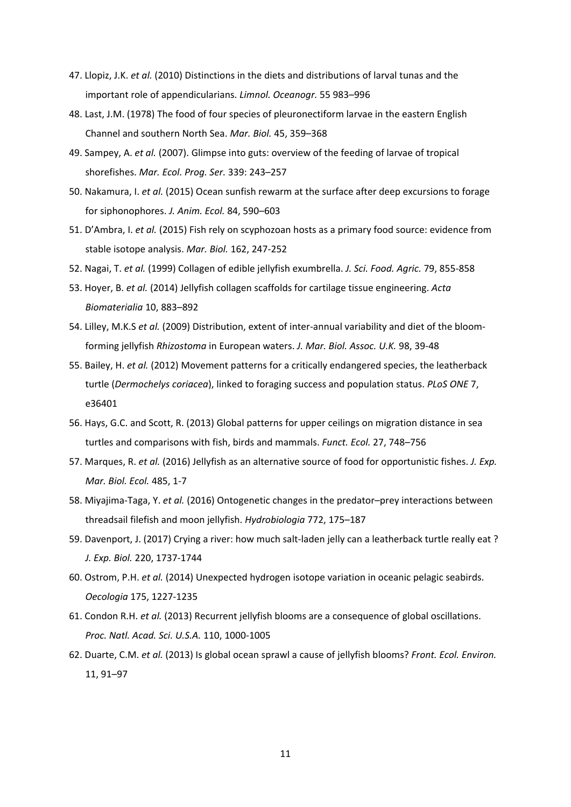- 47. Llopiz, J.K. *et al.* (2010) Distinctions in the diets and distributions of larval tunas and the important role of appendicularians. *Limnol. Oceanogr.* 55 983–996
- 48. Last, J.M. (1978) The food of four species of pleuronectiform larvae in the eastern English Channel and southern North Sea. *Mar. Biol.* 45, 359–368
- 49. Sampey, A. *et al.* (2007). Glimpse into guts: overview of the feeding of larvae of tropical shorefishes. *Mar. Ecol. Prog. Ser.* 339: 243–257
- 50. Nakamura, I. *et al.* (2015) Ocean sunfish rewarm at the surface after deep excursions to forage for siphonophores. *J. Anim. Ecol.* 84, 590–603
- 51. D'Ambra, I. *et al.* (2015) Fish rely on scyphozoan hosts as a primary food source: evidence from stable isotope analysis. *Mar. Biol.* 162, 247‐252
- 52. Nagai, T. *et al.* (1999) Collagen of edible jellyfish exumbrella. *J. Sci. Food. Agric.* 79, 855‐858
- 53. Hoyer, B. *et al.* (2014) Jellyfish collagen scaffolds for cartilage tissue engineering. *Acta Biomaterialia* 10, 883–892
- 54. Lilley, M.K.S *et al.* (2009) Distribution, extent of inter‐annual variability and diet of the bloom‐ forming jellyfish *Rhizostoma* in European waters. *J. Mar. Biol. Assoc. U.K.* 98, 39‐48
- 55. Bailey, H. *et al.* (2012) Movement patterns for a critically endangered species, the leatherback turtle (*Dermochelys coriacea*), linked to foraging success and population status. *PLoS ONE* 7, e36401
- 56. Hays, G.C. and Scott, R. (2013) Global patterns for upper ceilings on migration distance in sea turtles and comparisons with fish, birds and mammals. *Funct. Ecol.* 27, 748–756
- 57. Marques, R. *et al.* (2016) Jellyfish as an alternative source of food for opportunistic fishes. *J. Exp. Mar. Biol. Ecol.* 485, 1‐7
- 58. Miyajima‐Taga, Y. *et al.* (2016) Ontogenetic changes in the predator–prey interactions between threadsail filefish and moon jellyfish. *Hydrobiologia* 772, 175–187
- 59. Davenport, J. (2017) Crying a river: how much salt-laden jelly can a leatherback turtle really eat ? *J. Exp. Biol.* 220, 1737‐1744
- 60. Ostrom, P.H. *et al.* (2014) Unexpected hydrogen isotope variation in oceanic pelagic seabirds. *Oecologia* 175, 1227‐1235
- 61. Condon R.H. *et al.* (2013) Recurrent jellyfish blooms are a consequence of global oscillations. *Proc. Natl. Acad. Sci. U.S.A.* 110, 1000‐1005
- 62. Duarte, C.M. *et al.* (2013) Is global ocean sprawl a cause of jellyfish blooms? *Front. Ecol. Environ.* 11, 91–97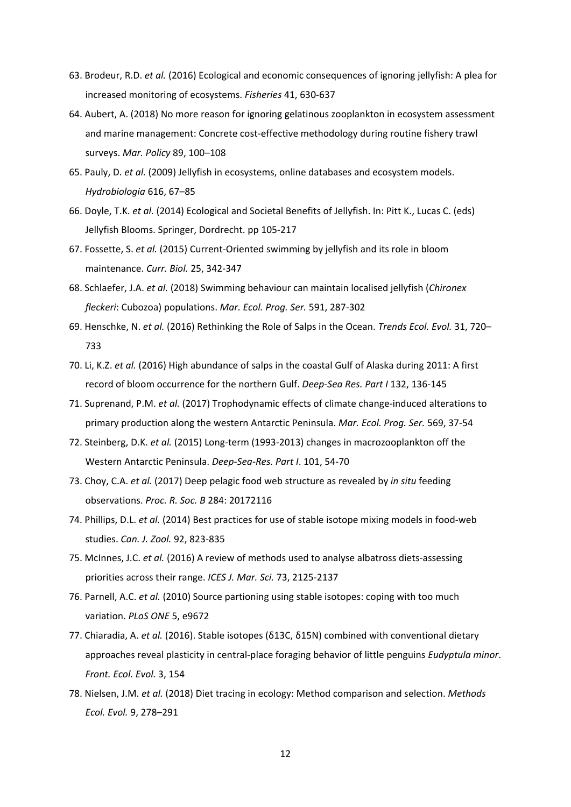- 63. Brodeur, R.D. *et al.* (2016) Ecological and economic consequences of ignoring jellyfish: A plea for increased monitoring of ecosystems. *Fisheries* 41, 630‐637
- 64. Aubert, A. (2018) No more reason for ignoring gelatinous zooplankton in ecosystem assessment and marine management: Concrete cost‐effective methodology during routine fishery trawl surveys. *Mar. Policy* 89, 100–108
- 65. Pauly, D. *et al.* (2009) Jellyfish in ecosystems, online databases and ecosystem models. *Hydrobiologia* 616, 67–85
- 66. Doyle, T.K. *et al.* (2014) Ecological and Societal Benefits of Jellyfish. In: Pitt K., Lucas C. (eds) Jellyfish Blooms. Springer, Dordrecht. pp 105‐217
- 67. Fossette, S. *et al.* (2015) Current‐Oriented swimming by jellyfish and its role in bloom maintenance. *Curr. Biol.* 25, 342‐347
- 68. Schlaefer, J.A. *et al.* (2018) Swimming behaviour can maintain localised jellyfish (*Chironex fleckeri*: Cubozoa) populations. *Mar. Ecol. Prog. Ser.* 591, 287‐302
- 69. Henschke, N. *et al.* (2016) Rethinking the Role of Salps in the Ocean. *Trends Ecol. Evol.* 31, 720– 733
- 70. Li, K.Z. *et al.* (2016) High abundance of salps in the coastal Gulf of Alaska during 2011: A first record of bloom occurrence for the northern Gulf. *Deep‐Sea Res. Part I* 132, 136‐145
- 71. Suprenand, P.M. *et al.* (2017) Trophodynamic effects of climate change-induced alterations to primary production along the western Antarctic Peninsula. *Mar. Ecol. Prog. Ser.* 569, 37‐54
- 72. Steinberg, D.K. *et al.* (2015) Long-term (1993-2013) changes in macrozooplankton off the Western Antarctic Peninsula. *Deep‐Sea‐Res. Part I*. 101, 54‐70
- 73. Choy, C.A. *et al.* (2017) Deep pelagic food web structure as revealed by *in situ* feeding observations. *Proc. R. Soc. B* 284: 20172116
- 74. Phillips, D.L. *et al.* (2014) Best practices for use of stable isotope mixing models in food‐web studies. *Can. J. Zool.* 92, 823‐835
- 75. McInnes, J.C. *et al.* (2016) A review of methods used to analyse albatross diets‐assessing priorities across their range. *ICES J. Mar. Sci.* 73, 2125‐2137
- 76. Parnell, A.C. *et al.* (2010) Source partioning using stable isotopes: coping with too much variation. *PLoS ONE* 5, e9672
- 77. Chiaradia, A. *et al.* (2016). Stable isotopes (δ13C, δ15N) combined with conventional dietary approaches reveal plasticity in central‐place foraging behavior of little penguins *Eudyptula minor*. *Front. Ecol. Evol.* 3, 154
- 78. Nielsen, J.M. *et al.* (2018) Diet tracing in ecology: Method comparison and selection. *Methods Ecol. Evol.* 9, 278–291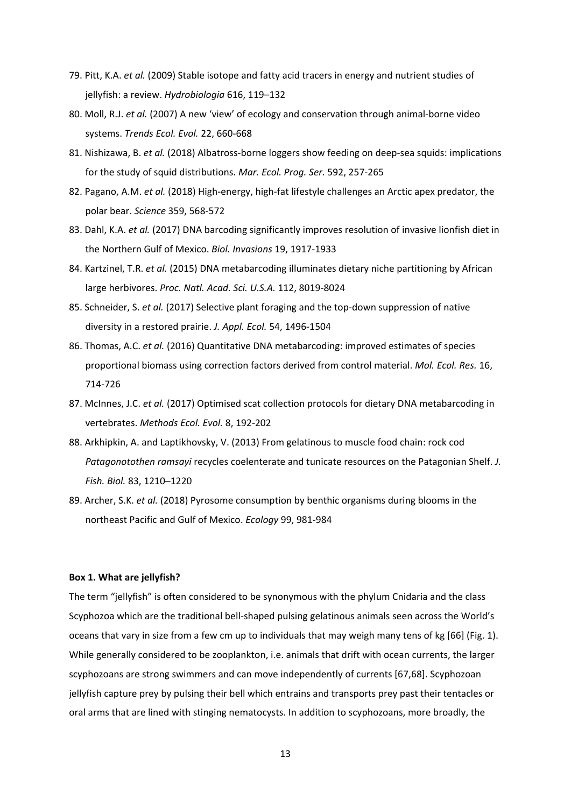- 79. Pitt, K.A. *et al.* (2009) Stable isotope and fatty acid tracers in energy and nutrient studies of jellyfish: a review. *Hydrobiologia* 616, 119–132
- 80. Moll, R.J. *et al.* (2007) A new 'view' of ecology and conservation through animal‐borne video systems. *Trends Ecol. Evol.* 22, 660‐668
- 81. Nishizawa, B. *et al.* (2018) Albatross-borne loggers show feeding on deep-sea squids: implications for the study of squid distributions. *Mar. Ecol. Prog. Ser.* 592, 257‐265
- 82. Pagano, A.M. *et al.* (2018) High‐energy, high‐fat lifestyle challenges an Arctic apex predator, the polar bear. *Science* 359, 568‐572
- 83. Dahl, K.A. *et al.* (2017) DNA barcoding significantly improves resolution of invasive lionfish diet in the Northern Gulf of Mexico. *Biol. Invasions* 19, 1917‐1933
- 84. Kartzinel, T.R. *et al.* (2015) DNA metabarcoding illuminates dietary niche partitioning by African large herbivores. *Proc. Natl. Acad. Sci. U.S.A.* 112, 8019‐8024
- 85. Schneider, S. *et al.* (2017) Selective plant foraging and the top-down suppression of native diversity in a restored prairie. *J. Appl. Ecol.* 54, 1496‐1504
- 86. Thomas, A.C. *et al.* (2016) Quantitative DNA metabarcoding: improved estimates of species proportional biomass using correction factors derived from control material. *Mol. Ecol. Res.* 16, 714‐726
- 87. McInnes, J.C. *et al.* (2017) Optimised scat collection protocols for dietary DNA metabarcoding in vertebrates. *Methods Ecol. Evol.* 8, 192‐202
- 88. Arkhipkin, A. and Laptikhovsky, V. (2013) From gelatinous to muscle food chain: rock cod *Patagonotothen ramsayi* recycles coelenterate and tunicate resources on the Patagonian Shelf. *J. Fish. Biol.* 83, 1210–1220
- 89. Archer, S.K. *et al.* (2018) Pyrosome consumption by benthic organisms during blooms in the northeast Pacific and Gulf of Mexico. *Ecology* 99, 981‐984

# **Box 1. What are jellyfish?**

The term "jellyfish" is often considered to be synonymous with the phylum Cnidaria and the class Scyphozoa which are the traditional bell‐shaped pulsing gelatinous animals seen across the World's oceans that vary in size from a few cm up to individuals that may weigh many tens of kg [66] (Fig. 1). While generally considered to be zooplankton, i.e. animals that drift with ocean currents, the larger scyphozoans are strong swimmers and can move independently of currents [67,68]. Scyphozoan jellyfish capture prey by pulsing their bell which entrains and transports prey past their tentacles or oral arms that are lined with stinging nematocysts. In addition to scyphozoans, more broadly, the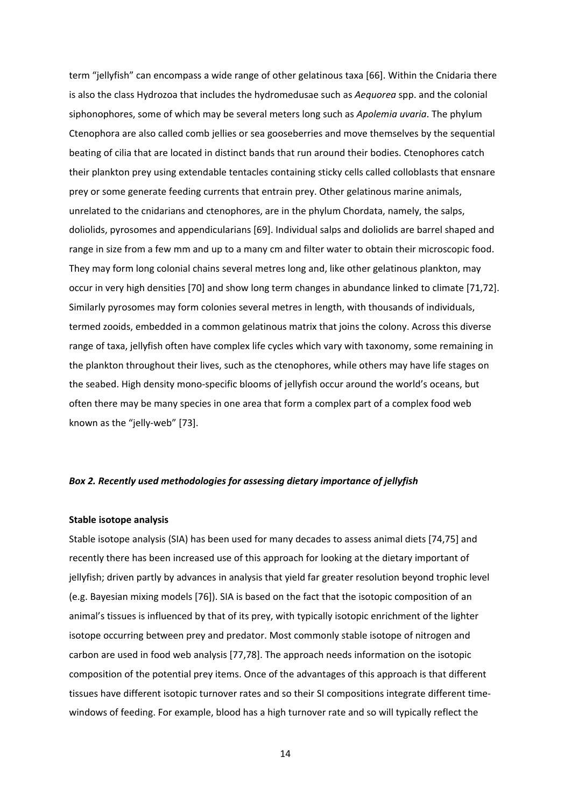term "jellyfish" can encompass a wide range of other gelatinous taxa [66]. Within the Cnidaria there is also the class Hydrozoa that includes the hydromedusae such as *Aequorea* spp. and the colonial siphonophores, some of which may be several meters long such as *Apolemia uvaria*. The phylum Ctenophora are also called comb jellies or sea gooseberries and move themselves by the sequential beating of cilia that are located in distinct bands that run around their bodies. Ctenophores catch their plankton prey using extendable tentacles containing sticky cells called colloblasts that ensnare prey or some generate feeding currents that entrain prey. Other gelatinous marine animals, unrelated to the cnidarians and ctenophores, are in the phylum Chordata, namely, the salps, doliolids, pyrosomes and appendicularians [69]. Individual salps and doliolids are barrel shaped and range in size from a few mm and up to a many cm and filter water to obtain their microscopic food. They may form long colonial chains several metres long and, like other gelatinous plankton, may occur in very high densities [70] and show long term changes in abundance linked to climate [71,72]. Similarly pyrosomes may form colonies several metres in length, with thousands of individuals, termed zooids, embedded in a common gelatinous matrix that joins the colony. Across this diverse range of taxa, jellyfish often have complex life cycles which vary with taxonomy, some remaining in the plankton throughout their lives, such as the ctenophores, while others may have life stages on the seabed. High density mono‐specific blooms of jellyfish occur around the world's oceans, but often there may be many species in one area that form a complex part of a complex food web known as the "jelly‐web" [73].

#### *Box 2. Recently used methodologies for assessing dietary importance of jellyfish*

## **Stable isotope analysis**

Stable isotope analysis (SIA) has been used for many decades to assess animal diets [74,75] and recently there has been increased use of this approach for looking at the dietary important of jellyfish; driven partly by advances in analysis that yield far greater resolution beyond trophic level (e.g. Bayesian mixing models [76]). SIA is based on the fact that the isotopic composition of an animal's tissues is influenced by that of its prey, with typically isotopic enrichment of the lighter isotope occurring between prey and predator. Most commonly stable isotope of nitrogen and carbon are used in food web analysis [77,78]. The approach needs information on the isotopic composition of the potential prey items. Once of the advantages of this approach is that different tissues have different isotopic turnover rates and so their SI compositions integrate different time‐ windows of feeding. For example, blood has a high turnover rate and so will typically reflect the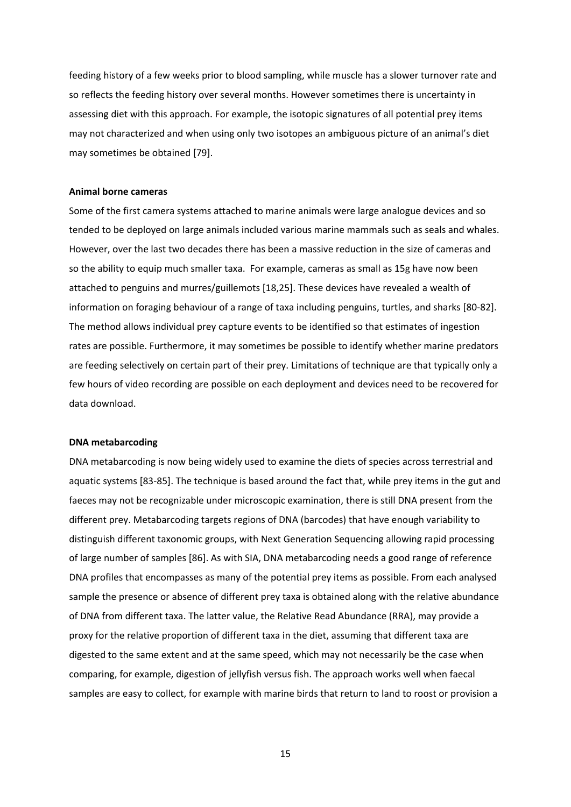feeding history of a few weeks prior to blood sampling, while muscle has a slower turnover rate and so reflects the feeding history over several months. However sometimes there is uncertainty in assessing diet with this approach. For example, the isotopic signatures of all potential prey items may not characterized and when using only two isotopes an ambiguous picture of an animal's diet may sometimes be obtained [79].

#### **Animal borne cameras**

Some of the first camera systems attached to marine animals were large analogue devices and so tended to be deployed on large animals included various marine mammals such as seals and whales. However, over the last two decades there has been a massive reduction in the size of cameras and so the ability to equip much smaller taxa. For example, cameras as small as 15g have now been attached to penguins and murres/guillemots [18,25]. These devices have revealed a wealth of information on foraging behaviour of a range of taxa including penguins, turtles, and sharks [80‐82]. The method allows individual prey capture events to be identified so that estimates of ingestion rates are possible. Furthermore, it may sometimes be possible to identify whether marine predators are feeding selectively on certain part of their prey. Limitations of technique are that typically only a few hours of video recording are possible on each deployment and devices need to be recovered for data download.

# **DNA metabarcoding**

DNA metabarcoding is now being widely used to examine the diets of species across terrestrial and aquatic systems [83‐85]. The technique is based around the fact that, while prey items in the gut and faeces may not be recognizable under microscopic examination, there is still DNA present from the different prey. Metabarcoding targets regions of DNA (barcodes) that have enough variability to distinguish different taxonomic groups, with Next Generation Sequencing allowing rapid processing of large number of samples [86]. As with SIA, DNA metabarcoding needs a good range of reference DNA profiles that encompasses as many of the potential prey items as possible. From each analysed sample the presence or absence of different prey taxa is obtained along with the relative abundance of DNA from different taxa. The latter value, the Relative Read Abundance (RRA), may provide a proxy for the relative proportion of different taxa in the diet, assuming that different taxa are digested to the same extent and at the same speed, which may not necessarily be the case when comparing, for example, digestion of jellyfish versus fish. The approach works well when faecal samples are easy to collect, for example with marine birds that return to land to roost or provision a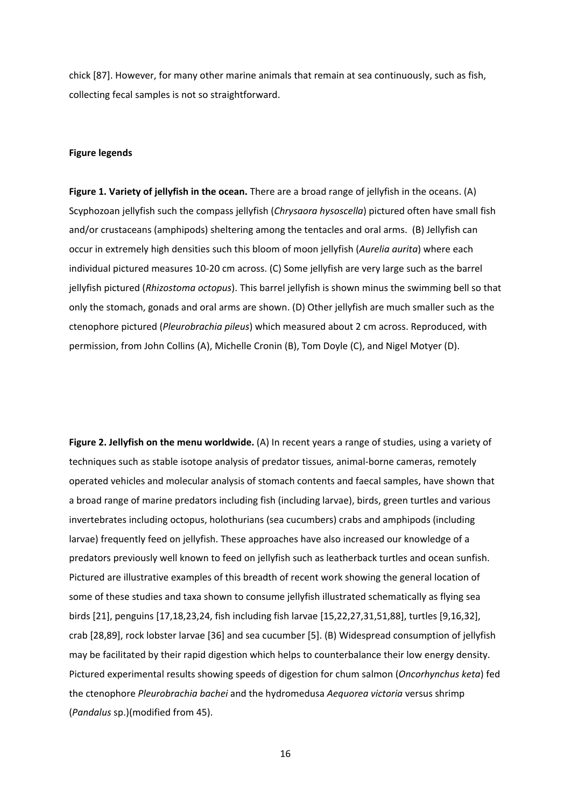chick [87]. However, for many other marine animals that remain at sea continuously, such as fish, collecting fecal samples is not so straightforward.

# **Figure legends**

**Figure 1. Variety of jellyfish in the ocean.** There are a broad range of jellyfish in the oceans. (A) Scyphozoan jellyfish such the compass jellyfish (*Chrysaora hysoscella*) pictured often have small fish and/or crustaceans (amphipods) sheltering among the tentacles and oral arms. (B) Jellyfish can occur in extremely high densities such this bloom of moon jellyfish (*Aurelia aurita*) where each individual pictured measures 10‐20 cm across. (C) Some jellyfish are very large such as the barrel jellyfish pictured (*Rhizostoma octopus*). This barrel jellyfish is shown minus the swimming bell so that only the stomach, gonads and oral arms are shown. (D) Other jellyfish are much smaller such as the ctenophore pictured (*Pleurobrachia pileus*) which measured about 2 cm across. Reproduced, with permission, from John Collins (A), Michelle Cronin (B), Tom Doyle (C), and Nigel Motyer (D).

**Figure 2. Jellyfish on the menu worldwide.** (A) In recent years a range of studies, using a variety of techniques such as stable isotope analysis of predator tissues, animal‐borne cameras, remotely operated vehicles and molecular analysis of stomach contents and faecal samples, have shown that a broad range of marine predators including fish (including larvae), birds, green turtles and various invertebrates including octopus, holothurians (sea cucumbers) crabs and amphipods (including larvae) frequently feed on jellyfish. These approaches have also increased our knowledge of a predators previously well known to feed on jellyfish such as leatherback turtles and ocean sunfish. Pictured are illustrative examples of this breadth of recent work showing the general location of some of these studies and taxa shown to consume jellyfish illustrated schematically as flying sea birds [21], penguins [17,18,23,24, fish including fish larvae [15,22,27,31,51,88], turtles [9,16,32], crab [28,89], rock lobster larvae [36] and sea cucumber [5]. (B) Widespread consumption of jellyfish may be facilitated by their rapid digestion which helps to counterbalance their low energy density. Pictured experimental results showing speeds of digestion for chum salmon (*Oncorhynchus keta*) fed the ctenophore *Pleurobrachia bachei* and the hydromedusa *Aequorea victoria* versus shrimp (*Pandalus* sp.)(modified from 45).